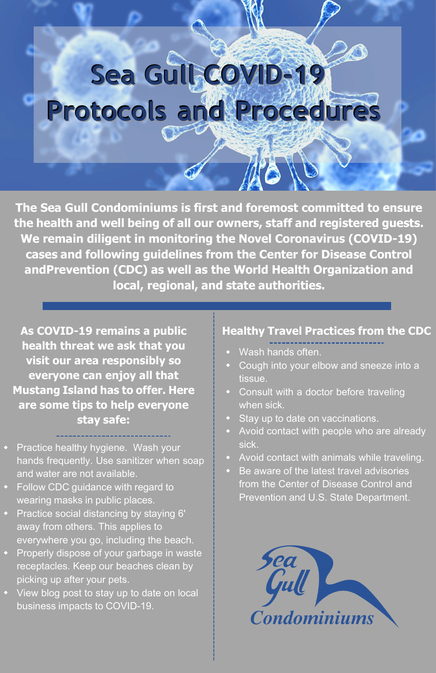# Sea Gull **COVID-19 Protocols and Procedures**

**The Sea Gull Condominiums is first and foremost committed to ensure the health and well being of all our owners, staff and registered guests. We remain diligent in monitoring the Novel Coronavirus (COVID-19) cases and following guidelines from the Center for Disease Control andPrevention (CDC) as well as the World Health Organization and local, regional, and state authorities.**

**As COVID-19 remains a public health threat we ask that you visit our area responsibly so everyone can enjoy all that Mustang Island has to offer. Here are some tips to help everyone stay safe:**

- Practice healthy hygiene. Wash your hands frequently. Use sanitizer when soap and water are not available.
- Follow CDC guidance with regard to wearing masks in public places.
- Practice social distancing by staying 6' away from others. This applies to everywhere you go, including the beach.
- Properly dispose of your garbage in waste receptacles. Keep our beaches clean by picking up after your pets.
- View blog post to stay up to date on local business impacts to COVID-19.

#### **Healthy Travel Practices from the CDC**

- Wash hands often.
- Cough into your elbow and sneeze into a tissue.
- Consult with a doctor before traveling when sick.
- Stay up to date on vaccinations.
- Avoid contact with people who are already sick.
- Avoid contact with animals while traveling.
- Be aware of the latest travel advisories from the Center of Disease Control and Prevention and U.S. State Department.

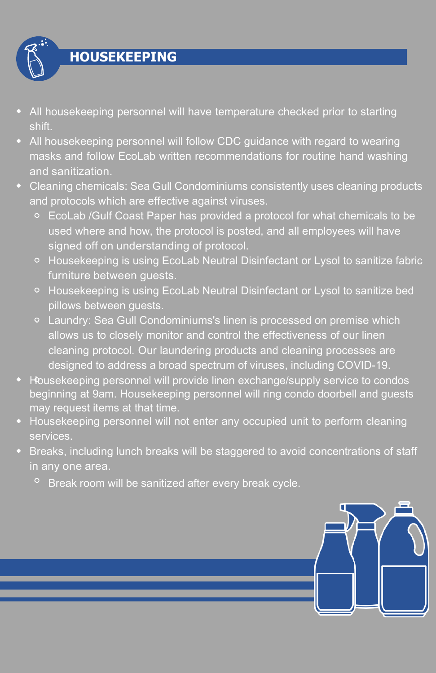

- All housekeeping personnel will have temperature checked prior to starting shift.
- All housekeeping personnel will follow CDC guidance with regard to wearing masks and follow EcoLab written recommendations for routine hand washing and sanitization.
- Cleaning chemicals: Sea Gull Condominiums consistently uses cleaning products and protocols which are effective against viruses.
	- EcoLab /Gulf Coast Paper has provided a protocol for what chemicals to be used where and how, the protocol is posted, and all employees will have signed off on understanding of protocol.
	- Housekeeping is using EcoLab Neutral Disinfectant or Lysol to sanitize fabric furniture between guests.
	- Housekeeping is using EcoLab Neutral Disinfectant or Lysol to sanitize bed pillows between guests.
	- Laundry: Sea Gull Condominiums's linen is processed on premise which allows us to closely monitor and control the effectiveness of our linen cleaning protocol. Our laundering products and cleaning processes are designed to address a broad spectrum of viruses, including COVID-19.
- Housekeeping personnel will provide linen exchange/supply service to condos beginning at 9am. Housekeeping personnel will ring condo doorbell and guests may request items at that time.
- Housekeeping personnel will not enter any occupied unit to perform cleaning services.
- Breaks, including lunch breaks will be staggered to avoid concentrations of staff in any one area.
	- <sup>o</sup> Break room will be sanitized after every break cycle.

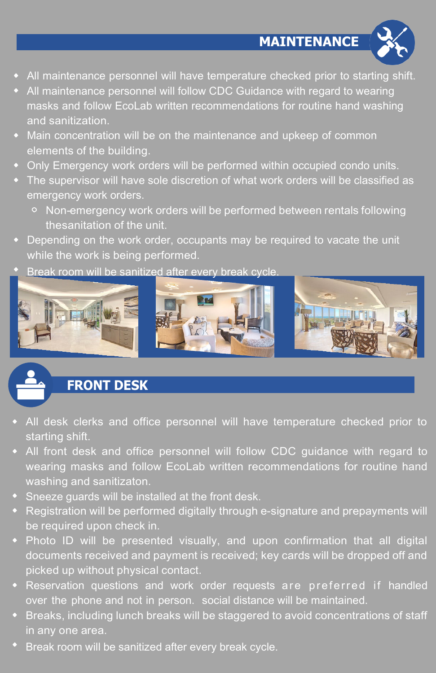**MAINTENANCE**



- All maintenance personnel will have temperature checked prior to starting shift.
- All maintenance personnel will follow CDC Guidance with regard to wearing masks and follow EcoLab written recommendations for routine hand washing and sanitization.
- Main concentration will be on the maintenance and upkeep of common elements of the building.
- Only Emergency work orders will be performed within occupied condo units.
- The supervisor will have sole discretion of what work orders will be classified as emergency work orders.
	- Non-emergency work orders will be performed between rentals following thesanitation of the unit.
- Depending on the work order, occupants may be required to vacate the unit while the work is being performed.
- Break room will be sanitized after every break cycle.



# **FRONT DESK**

- All desk clerks and office personnel will have temperature checked prior to starting shift.
- All front desk and office personnel will follow CDC guidance with regard to wearing masks and follow EcoLab written recommendations for routine hand washing and sanitizaton.
- Sneeze guards will be installed at the front desk.
- Registration will be performed digitally through e-signature and prepayments will be required upon check in.
- Photo ID will be presented visually, and upon confirmation that all digital documents received and payment is received; key cards will be dropped off and picked up without physical contact.
- Reservation questions and work order requests are preferred if handled over the phone and not in person. social distance will be maintained.
- **Breaks, including lunch breaks will be staggered to avoid concentrations of staff** in any one area.
- Break room will be sanitized after every break cycle.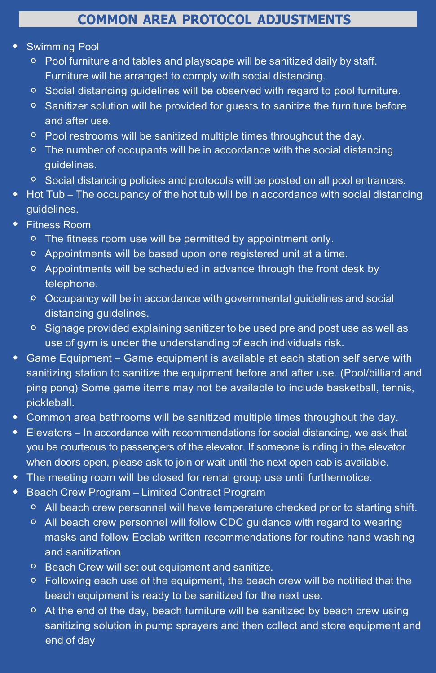## **COMMON AREA PROTOCOL ADJUSTMENTS**

#### Swimming Pool

- Pool furniture and tables and playscape will be sanitized daily by staff. Furniture will be arranged to comply with social distancing.
- $\circ$  Social distancing guidelines will be observed with regard to pool furniture.
- $\circ$  Sanitizer solution will be provided for guests to sanitize the furniture before and after use.
- <sup>o</sup> Pool restrooms will be sanitized multiple times throughout the day.
- $\circ$  The number of occupants will be in accordance with the social distancing guidelines.
- <sup>o</sup> Social distancing policies and protocols will be posted on all pool entrances.
- Hot Tub The occupancy of the hot tub will be in accordance with social distancing guidelines.
- Fitness Room
	- **○** The fitness room use will be permitted by appointment only.
	- Appointments will be based upon one registered unit at a time.
	- Appointments will be scheduled in advance through the front desk by telephone.
	- Occupancy will be in accordance with governmental guidelines and social distancing guidelines.
	- $\circ$  Signage provided explaining sanitizer to be used pre and post use as well as use of gym is under the understanding of each individuals risk.
- Game Equipment Game equipment is available at each station self serve with sanitizing station to sanitize the equipment before and after use. (Pool/billiard and ping pong) Some game items may not be available to include basketball, tennis, pickleball.
- Common area bathrooms will be sanitized multiple times throughout the day.
- **Elevators In accordance with recommendations for social distancing, we ask that** you be courteous to passengers of the elevator. If someone is riding in the elevator when doors open, please ask to join or wait until the next open cab is available.
- The meeting room will be closed for rental group use until furthernotice.
- ◆ Beach Crew Program Limited Contract Program
	- $\circ$  All beach crew personnel will have temperature checked prior to starting shift.
	- All beach crew personnel will follow CDC guidance with regard to wearing masks and follow Ecolab written recommendations for routine hand washing and sanitization
	- <sup>o</sup> Beach Crew will set out equipment and sanitize.
	- Following each use of the equipment, the beach crew will be notified that the beach equipment is ready to be sanitized for the next use.
	- $\circ$  At the end of the day, beach furniture will be sanitized by beach crew using sanitizing solution in pump sprayers and then collect and store equipment and end of day